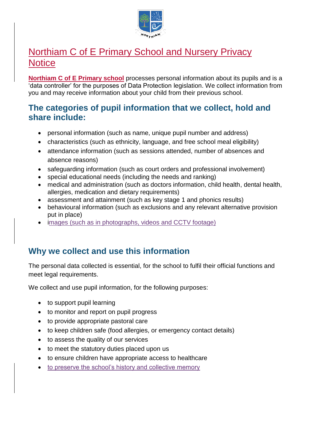

# Northiam C of E Primary School and Nursery Privacy **Notice**

**Northiam C of E Primary school** processes personal information about its pupils and is a 'data controller' for the purposes of Data Protection legislation. We collect information from you and may receive information about your child from their previous school.

### **The categories of pupil information that we collect, hold and share include:**

- personal information (such as name, unique pupil number and address)
- characteristics (such as ethnicity, language, and free school meal eligibility)
- attendance information (such as sessions attended, number of absences and absence reasons)
- safeguarding information (such as court orders and professional involvement)
- special educational needs (including the needs and ranking)
- medical and administration (such as doctors information, child health, dental health, allergies, medication and dietary requirements)
- assessment and attainment (such as key stage 1 and phonics results)
- behavioural information (such as exclusions and any relevant alternative provision put in place)
- images (such as in photographs, videos and CCTV footage)

## **Why we collect and use this information**

The personal data collected is essential, for the school to fulfil their official functions and meet legal requirements.

We collect and use pupil information, for the following purposes:

- to support pupil learning
- to monitor and report on pupil progress
- to provide appropriate pastoral care
- to keep children safe (food allergies, or emergency contact details)
- to assess the quality of our services
- to meet the statutory duties placed upon us
- to ensure children have appropriate access to healthcare
- to preserve the school's history and collective memory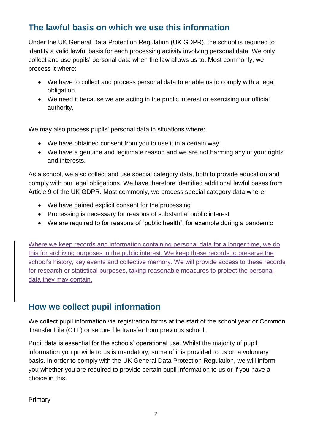# **The lawful basis on which we use this information**

Under the UK General Data Protection Regulation (UK GDPR), the school is required to identify a valid lawful basis for each processing activity involving personal data. We only collect and use pupils' personal data when the law allows us to. Most commonly, we process it where:

- We have to collect and process personal data to enable us to comply with a legal obligation.
- We need it because we are acting in the public interest or exercising our official authority.

We may also process pupils' personal data in situations where:

- We have obtained consent from you to use it in a certain way.
- We have a genuine and legitimate reason and we are not harming any of your rights and interests.

As a school, we also collect and use special category data, both to provide education and comply with our legal obligations. We have therefore identified additional lawful bases from Article 9 of the UK GDPR. Most commonly, we process special category data where:

- We have gained explicit consent for the processing
- Processing is necessary for reasons of substantial public interest
- We are required to for reasons of "public health", for example during a pandemic

Where we keep records and information containing personal data for a longer time, we do this for archiving purposes in the public interest. We keep these records to preserve the school's history, key events and collective memory. We will provide access to these records for research or statistical purposes, taking reasonable measures to protect the personal data they may contain.

# **How we collect pupil information**

We collect pupil information via registration forms at the start of the school year or Common Transfer File (CTF) or secure file transfer from previous school.

Pupil data is essential for the schools' operational use. Whilst the majority of pupil information you provide to us is mandatory, some of it is provided to us on a voluntary basis. In order to comply with the UK General Data Protection Regulation, we will inform you whether you are required to provide certain pupil information to us or if you have a choice in this.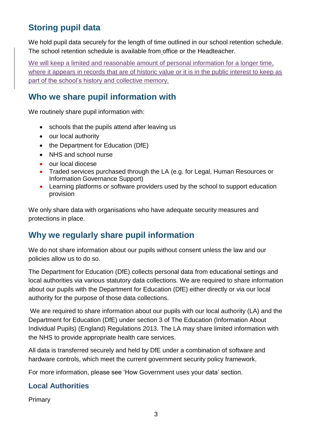# **Storing pupil data**

We hold pupil data securely for the length of time outlined in our school retention schedule. The school retention schedule is available from office or the Headteacher.

We will keep a limited and reasonable amount of personal information for a longer time. where it appears in records that are of historic value or it is in the public interest to keep as part of the school's history and collective memory.

## **Who we share pupil information with**

We routinely share pupil information with:

- schools that the pupils attend after leaving us
- our local authority
- the Department for Education (DfE)
- NHS and school nurse
- our local diocese
- Traded services purchased through the LA (e.g. for Legal, Human Resources or Information Governance Support)
- Learning platforms or software providers used by the school to support education provision

We only share data with organisations who have adequate security measures and protections in place.

# **Why we regularly share pupil information**

We do not share information about our pupils without consent unless the law and our policies allow us to do so.

The Department for Education (DfE) collects personal data from educational settings and local authorities via various statutory data collections. We are required to share information about our pupils with the Department for Education (DfE) either directly or via our local authority for the purpose of those data collections.

We are required to share information about our pupils with our local authority (LA) and the Department for Education (DfE) under section 3 of The Education (Information About Individual Pupils) (England) Regulations 2013. The LA may share limited information with the NHS to provide appropriate health care services.

All data is transferred securely and held by DfE under a combination of software and hardware controls, which meet the current government security policy framework.

For more information, please see 'How Government uses your data' section.

### **Local Authorities**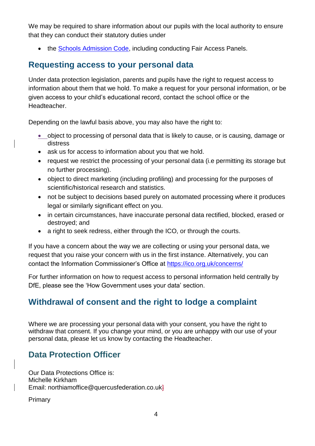We may be required to share information about our pupils with the local authority to ensure that they can conduct their statutory duties under

• the [Schools Admission Code,](https://www.gov.uk/government/publications/school-admissions-code--2) including conducting Fair Access Panels.

#### **Requesting access to your personal data**

Under data protection legislation, parents and pupils have the right to request access to information about them that we hold. To make a request for your personal information, or be given access to your child's educational record, contact the school office or the **Headteacher** 

Depending on the lawful basis above, you may also have the right to:

- object to processing of personal data that is likely to cause, or is causing, damage or distress
- ask us for access to information about you that we hold.
- request we restrict the processing of your personal data (i.e permitting its storage but no further processing).
- object to direct marketing (including profiling) and processing for the purposes of scientific/historical research and statistics.
- not be subject to decisions based purely on automated processing where it produces legal or similarly significant effect on you.
- in certain circumstances, have inaccurate personal data rectified, blocked, erased or destroyed; and
- a right to seek redress, either through the ICO, or through the courts.

If you have a concern about the way we are collecting or using your personal data, we request that you raise your concern with us in the first instance. Alternatively, you can contact the Information Commissioner's Office at<https://ico.org.uk/concerns/>

For further information on how to request access to personal information held centrally by DfE, please see the 'How Government uses your data' section.

# **Withdrawal of consent and the right to lodge a complaint**

Where we are processing your personal data with your consent, you have the right to withdraw that consent. If you change your mind, or you are unhappy with our use of your personal data, please let us know by contacting the Headteacher.

## **Data Protection Officer**

Our Data Protections Office is: Michelle Kirkham Email: northiamoffice@quercusfederation.co.uk]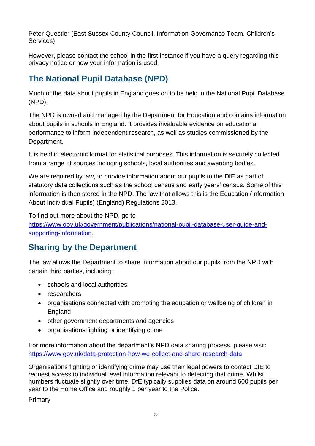Peter Questier (East Sussex County Council, Information Governance Team. Children's Services)

However, please contact the school in the first instance if you have a query regarding this privacy notice or how your information is used.

# **The National Pupil Database (NPD)**

Much of the data about pupils in England goes on to be held in the National Pupil Database (NPD).

The NPD is owned and managed by the Department for Education and contains information about pupils in schools in England. It provides invaluable evidence on educational performance to inform independent research, as well as studies commissioned by the Department.

It is held in electronic format for statistical purposes. This information is securely collected from a range of sources including schools, local authorities and awarding bodies.

We are required by law, to provide information about our pupils to the DfE as part of statutory data collections such as the school census and early years' census. Some of this information is then stored in the NPD. The law that allows this is the Education (Information About Individual Pupils) (England) Regulations 2013.

To find out more about the NPD, go to

[https://www.gov.uk/government/publications/national-pupil-database-user-guide-and](https://www.gov.uk/government/publications/national-pupil-database-user-guide-and-supporting-information)[supporting-information.](https://www.gov.uk/government/publications/national-pupil-database-user-guide-and-supporting-information)

# **Sharing by the Department**

The law allows the Department to share information about our pupils from the NPD with certain third parties, including:

- schools and local authorities
- researchers
- organisations connected with promoting the education or wellbeing of children in England
- other government departments and agencies
- organisations fighting or identifying crime

For more information about the department's NPD data sharing process, please visit: <https://www.gov.uk/data-protection-how-we-collect-and-share-research-data>

Organisations fighting or identifying crime may use their legal powers to contact DfE to request access to individual level information relevant to detecting that crime. Whilst numbers fluctuate slightly over time, DfE typically supplies data on around 600 pupils per year to the Home Office and roughly 1 per year to the Police.